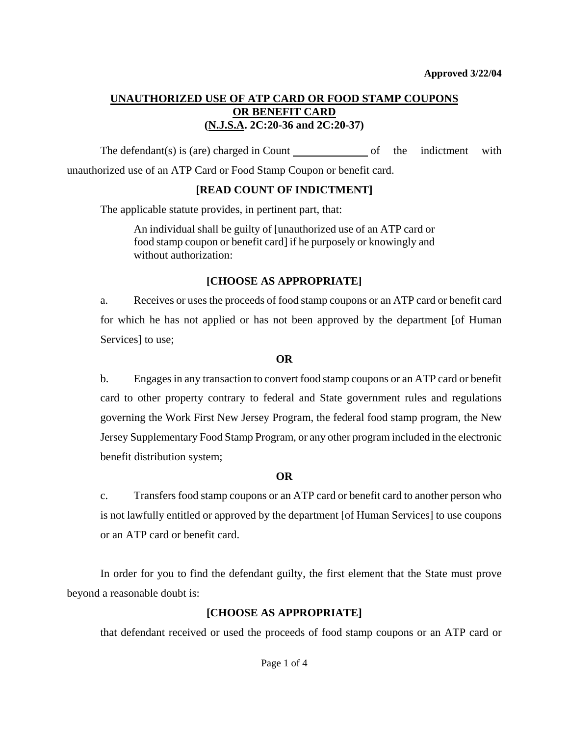## **UNAUTHORIZED USE OF ATP CARD OR FOOD STAMP COUPONS OR BENEFIT CARD (N.J.S.A. 2C:20-36 and 2C:20-37)**

The defendant(s) is (are) charged in Count  $\qquad \qquad$  of the indictment with unauthorized use of an ATP Card or Food Stamp Coupon or benefit card.

### **[READ COUNT OF INDICTMENT]**

The applicable statute provides, in pertinent part, that:

An individual shall be guilty of [unauthorized use of an ATP card or food stamp coupon or benefit card] if he purposely or knowingly and without authorization:

### **[CHOOSE AS APPROPRIATE]**

a. Receives or uses the proceeds of food stamp coupons or an ATP card or benefit card for which he has not applied or has not been approved by the department [of Human Services] to use;

### **OR**

b. Engages in any transaction to convert food stamp coupons or an ATP card or benefit card to other property contrary to federal and State government rules and regulations governing the Work First New Jersey Program, the federal food stamp program, the New Jersey Supplementary Food Stamp Program, or any other program included in the electronic benefit distribution system;

### **OR**

c. Transfers food stamp coupons or an ATP card or benefit card to another person who is not lawfully entitled or approved by the department [of Human Services] to use coupons or an ATP card or benefit card.

 In order for you to find the defendant guilty, the first element that the State must prove beyond a reasonable doubt is:

# **[CHOOSE AS APPROPRIATE]**

that defendant received or used the proceeds of food stamp coupons or an ATP card or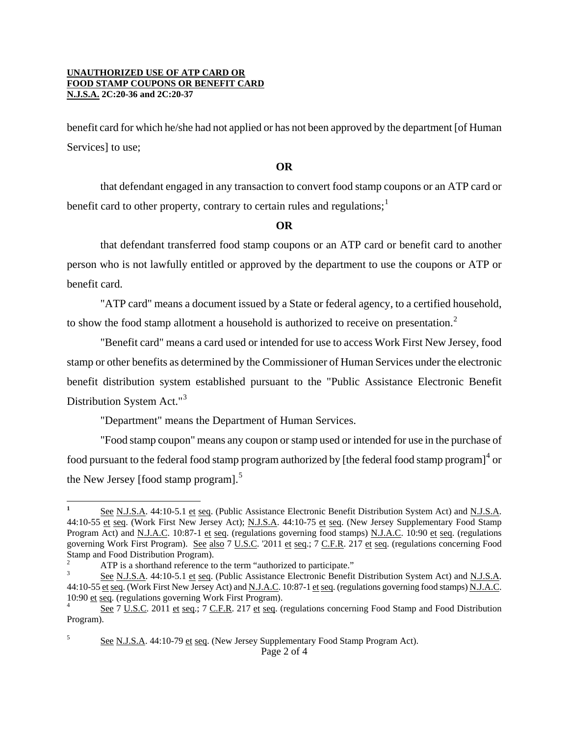#### **UNAUTHORIZED USE OF ATP CARD OR FOOD STAMP COUPONS OR BENEFIT CARD N.J.S.A. 2C:20-36 and 2C:20-37**

benefit card for which he/she had not applied or has not been approved by the department [of Human Services] to use;

#### **OR**

that defendant engaged in any transaction to convert food stamp coupons or an ATP card or benefit card to other property, contrary to certain rules and regulations;<sup>[1](#page-1-0)</sup>

### **OR**

that defendant transferred food stamp coupons or an ATP card or benefit card to another person who is not lawfully entitled or approved by the department to use the coupons or ATP or benefit card.

"ATP card" means a document issued by a State or federal agency, to a certified household, to show the food stamp allotment a household is authorized to receive on presentation.<sup>[2](#page-1-1)</sup>

"Benefit card" means a card used or intended for use to access Work First New Jersey, food stamp or other benefits as determined by the Commissioner of Human Services under the electronic benefit distribution system established pursuant to the "Public Assistance Electronic Benefit Distribution System Act."[3](#page-1-2)

"Department" means the Department of Human Services.

"Food stamp coupon" means any coupon or stamp used or intended for use in the purchase of food pursuant to the federal food stamp program authorized by [the federal food stamp program] $^4$  $^4$  or the New Jersey [food stamp program].<sup>[5](#page-1-4)</sup>

<span id="page-1-0"></span>i **1** See N.J.S.A. 44:10-5.1 et seq. (Public Assistance Electronic Benefit Distribution System Act) and N.J.S.A. 44:10-55 et seq. (Work First New Jersey Act); N.J.S.A. 44:10-75 et seq. (New Jersey Supplementary Food Stamp Program Act) and <u>N.J.A.C</u>. 10:87-1 et seq. (regulations governing food stamps) N.J.A.C. 10:90 et seq. (regulations governing Work First Program). See also 7 U.S.C. '2011 et seq.; 7 C.F.R. 217 et seq. (regulations concerning Food Stamp and Food Distribution Program).

<span id="page-1-1"></span><sup>2</sup> ATP is a shorthand reference to the term "authorized to participate."

<span id="page-1-2"></span><sup>3</sup> See N.J.S.A. 44:10-5.1 et seq. (Public Assistance Electronic Benefit Distribution System Act) and N.J.S.A. 44:10-55 et seq. (Work First New Jersey Act) and N.J.A.C. 10:87-1 et seq. (regulations governing food stamps) N.J.A.C. 10:90 et seq. (regulations governing Work First Program).

<span id="page-1-4"></span><span id="page-1-3"></span>See 7 U.S.C. 2011 et seq.; 7 C.F.R. 217 et seq. (regulations concerning Food Stamp and Food Distribution Program).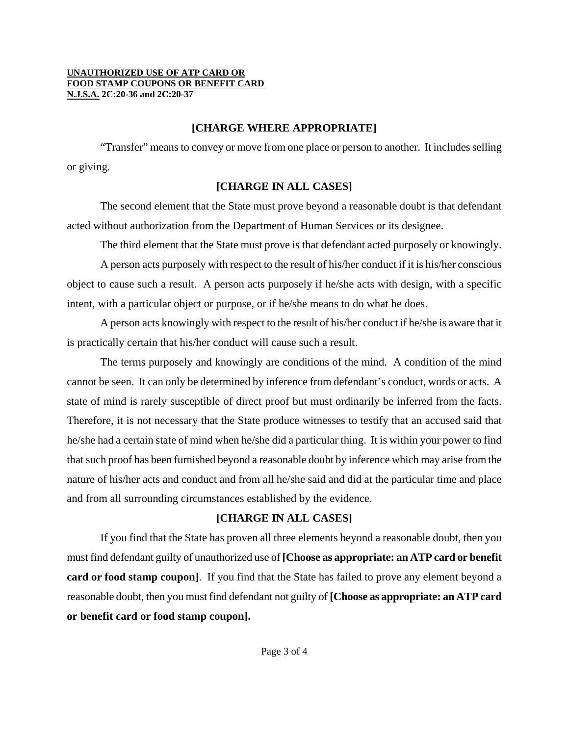#### **UNAUTHORIZED USE OF ATP CARD OR FOOD STAMP COUPONS OR BENEFIT CARD N.J.S.A. 2C:20-36 and 2C:20-37**

### **[CHARGE WHERE APPROPRIATE]**

"Transfer" means to convey or move from one place or person to another. It includes selling or giving.

# **[CHARGE IN ALL CASES]**

The second element that the State must prove beyond a reasonable doubt is that defendant acted without authorization from the Department of Human Services or its designee.

The third element that the State must prove is that defendant acted purposely or knowingly.

A person acts purposely with respect to the result of his/her conduct if it is his/her conscious object to cause such a result. A person acts purposely if he/she acts with design, with a specific intent, with a particular object or purpose, or if he/she means to do what he does.

A person acts knowingly with respect to the result of his/her conduct if he/she is aware that it is practically certain that his/her conduct will cause such a result.

The terms purposely and knowingly are conditions of the mind. A condition of the mind cannot be seen. It can only be determined by inference from defendant's conduct, words or acts. A state of mind is rarely susceptible of direct proof but must ordinarily be inferred from the facts. Therefore, it is not necessary that the State produce witnesses to testify that an accused said that he/she had a certain state of mind when he/she did a particular thing. It is within your power to find that such proof has been furnished beyond a reasonable doubt by inference which may arise from the nature of his/her acts and conduct and from all he/she said and did at the particular time and place and from all surrounding circumstances established by the evidence.

# **[CHARGE IN ALL CASES]**

If you find that the State has proven all three elements beyond a reasonable doubt, then you must find defendant guilty of unauthorized use of **[Choose as appropriate: an ATP card or benefit card or food stamp coupon]**. If you find that the State has failed to prove any element beyond a reasonable doubt, then you must find defendant not guilty of **[Choose as appropriate: an ATP card or benefit card or food stamp coupon].**